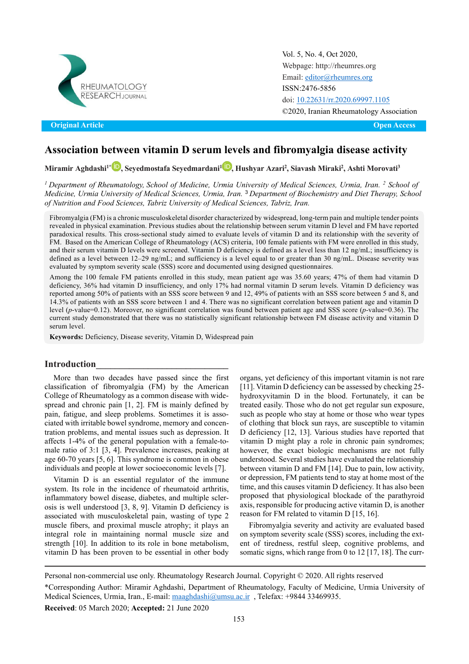

Original Article Open Access **Original Article Open Access**

Vol. 5, No. 4, Oct 2020, [Webpage: http://rheumres.org](http://rheumres.org/) Email[: editor@rheumres.org](mailto:editor@rheumres.org) ISSN:2476-5856 doi: 10.22631/rr.2020.69997.1105 ©2020, Iranian Rheumatology Association

# **Association between vitamin D serum levels and fibromyalgia disease activity**

## **Miramir Aghdashi1\* [,](https://www.orcid.org/0000-0001-8826-4585) Seyedmostafa Seyedmardani[1](https://www.orcid.org/0000-0003-4920-3098) , Hushyar Azari2 , Siavash Miraki2 , Ashti Morovati3**

*<sup>1</sup> Department of Rheumatology, School of Medicine, Urmia University of Medical Sciences, Urmia, Iran. <sup>2</sup> School of Medicine, Urmia University of Medical Sciences, Urmia, Iran.* <sup>3</sup> *Department of Biochemistry and Diet Therapy, School of Nutrition and Food Sciences, Tabriz University of Medical Sciences, Tabriz, Iran.*

Fibromyalgia (FM) is a chronic musculoskeletal disorder characterized by widespread, long-term pain and multiple tender points revealed in physical examination. Previous studies about the relationship between serum vitamin D level and FM have reported paradoxical results. This cross-sectional study aimed to evaluate levels of vitamin D and its relationship with the severity of FM. Based on the American College of Rheumatology (ACS) criteria, 100 female patients with FM were enrolled in this study, and their serum vitamin D levels were screened. Vitamin D deficiency is defined as a level less than 12 ng/mL; insufficiency is defined as a level between 12–29 ng/mL; and sufficiency is a level equal to or greater than 30 ng/mL. Disease severity was evaluated by symptom severity scale (SSS) score and documented using designed questionnaires.

Among the 100 female FM patients enrolled in this study, mean patient age was 35.60 years; 47% of them had vitamin D deficiency, 36% had vitamin D insufficiency, and only 17% had normal vitamin D serum levels. Vitamin D deficiency was reported among 50% of patients with an SSS score between 9 and 12, 49% of patients with an SSS score between 5 and 8, and 14.3% of patients with an SSS score between 1 and 4. There was no significant correlation between patient age and vitamin D level (*p*-value=0.12). Moreover, no significant correlation was found between patient age and SSS score (*p-*value=0.36). The current study demonstrated that there was no statistically significant relationship between FM disease activity and vitamin D serum level.

**Keywords:** Deficiency, Disease severity, Vitamin D, Widespread pain

#### **Introduction\_\_\_\_\_\_\_\_\_\_\_\_\_\_\_\_\_\_\_\_\_\_\_\_\_\_\_\_**

More than two decades have passed since the first classification of fibromyalgia (FM) by the American College of Rheumatology as a common disease with widespread and chronic pain [1, 2]. FM is mainly defined by pain, fatigue, and sleep problems. Sometimes it is associated with irritable bowel syndrome, memory and concentration problems, and mental issues such as depression. It affects 1-4% of the general population with a female-tomale ratio of 3:1 [3, 4]. Prevalence increases, peaking at age 60-70 years [5, 6]. This syndrome is common in obese individuals and people at lower socioeconomic levels [7].

Vitamin D is an essential regulator of the immune system. Its role in the incidence of rheumatoid arthritis, inflammatory bowel disease, diabetes, and multiple sclerosis is well understood [3, 8, 9]. Vitamin D deficiency is associated with musculoskeletal pain, wasting of type 2 muscle fibers, and proximal muscle atrophy; it plays an integral role in maintaining normal muscle size and strength [10]. In addition to its role in bone metabolism, vitamin D has been proven to be essential in other body organs, yet deficiency of this important vitamin is not rare [11]. Vitamin D deficiency can be assessed by checking 25 hydroxyvitamin D in the blood. Fortunately, it can be treated easily. Those who do not get regular sun exposure, such as people who stay at home or those who wear types of clothing that block sun rays, are susceptible to vitamin D deficiency [12, 13]. Various studies have reported that vitamin D might play a role in chronic pain syndromes; however, the exact biologic mechanisms are not fully understood. Several studies have evaluated the relationship between vitamin D and FM [14]. Due to pain, low activity, or depression, FM patients tend to stay at home most of the time, and this causes vitamin D deficiency. It has also been proposed that physiological blockade of the parathyroid axis, responsible for producing active vitamin D, is another reason for FM related to vitamin D [15, 16].

Fibromyalgia severity and activity are evaluated based on symptom severity scale (SSS) scores, including the extent of tiredness, restful sleep, cognitive problems, and somatic signs, which range from 0 to 12 [17, 18]. The curr-

**Received**: 05 March 2020; **Accepted:** 21 June 2020

Personal non-commercial use only. Rheumatology Research Journal. Copyright © 2020. All rights reserved

<sup>\*</sup>Corresponding Author: Miramir Aghdashi, Department of Rheumatology, Faculty of Medicine, Urmia University of Medical Sciences, Urmia, Iran., E-mail[: maaghdashi@umsu.ac.ir](mailto:maaghdashi@umsu.ac.ir) , Telefax: +9844 33469935.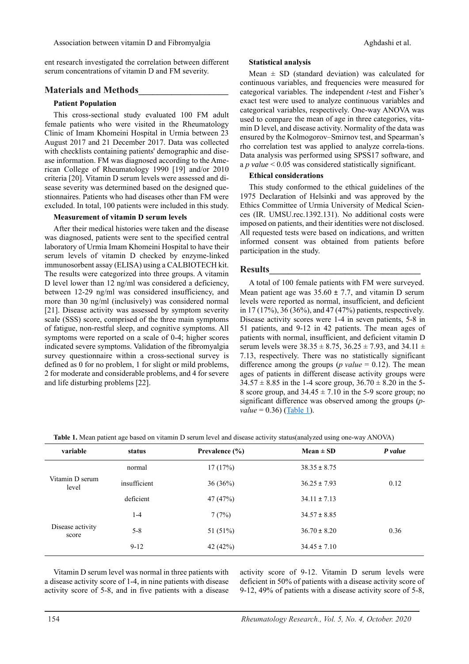ent research investigated the correlation between different serum concentrations of vitamin D and FM severity.

## **Materials and Methods\_\_\_\_\_\_\_\_\_\_\_\_\_\_\_\_\_\_\_**

#### **Patient Population**

This cross-sectional study evaluated 100 FM adult female patients who were visited in the Rheumatology Clinic of Imam Khomeini Hospital in Urmia between 23 August 2017 and 21 December 2017. Data was collected with checklists containing patients' demographic and disease information. FM was diagnosed according to the American College of Rheumatology 1990 [19] and/or 2010 criteria [20]. Vitamin D serum levels were assessed and disease severity was determined based on the designed questionnaires. Patients who had diseases other than FM were excluded. In total, 100 patients were included in this study.

#### **Measurement of vitamin D serum levels**

After their medical histories were taken and the disease was diagnosed, patients were sent to the specified central laboratory of Urmia Imam Khomeini Hospital to have their serum levels of vitamin D checked by enzyme-linked immunosorbent assay (ELISA) using a CALBIOTECH kit. The results were categorized into three groups. A vitamin D level lower than 12 ng/ml was considered a deficiency, between 12-29 ng/ml was considered insufficiency, and more than 30 ng/ml (inclusively) was considered normal [21]. Disease activity was assessed by symptom severity scale (SSS) score, comprised of the three main symptoms of fatigue, non-restful sleep, and cognitive symptoms. All symptoms were reported on a scale of 0-4; higher scores indicated severe symptoms. Validation of the fibromyalgia survey questionnaire within a cross-sectional survey is defined as 0 for no problem, 1 for slight or mild problems, 2 for moderate and considerable problems, and 4 for severe and life disturbing problems [22].

#### **Statistical analysis**

 used to compare the mean of age in three categories, vita-Mean  $\pm$  SD (standard deviation) was calculated for continuous variables, and frequencies were measured for categorical variables. The independent *t*-test and Fisher's exact test were used to analyze continuous variables and categorical variables, respectively. One-way ANOVA was min D level, and disease activity. Normality of the data was ensured by the Kolmogorov–Smirnov test, and Spearman's rho correlation test was applied to analyze correla-tions. Data analysis was performed using SPSS17 software, and a *p value* < 0.05 was considered statistically significant.

#### **Ethical considerations**

This study conformed to the ethical guidelines of the 1975 Declaration of Helsinki and was approved by the Ethics Committee of Urmia University of Medical Sciences (IR. UMSU.rec.1392.131). No additional costs were imposed on patients, and their identities were not disclosed. All requested tests were based on indications, and written informed consent was obtained from patients before participation in the study.

#### **Results\_\_\_\_\_\_\_\_\_\_\_\_\_\_\_\_\_\_\_\_\_\_\_\_\_\_\_\_\_\_\_\_**

A total of 100 female patients with FM were surveyed. Mean patient age was  $35.60 \pm 7.7$ , and vitamin D serum levels were reported as normal, insufficient, and deficient in 17 (17%), 36 (36%), and 47 (47%) patients, respectively. Disease activity scores were 1-4 in seven patients, 5-8 in 51 patients, and 9-12 in 42 patients. The mean ages of patients with normal, insufficient, and deficient vitamin D serum levels were  $38.35 \pm 8.75$ ,  $36.25 \pm 7.93$ , and  $34.11 \pm$ 7.13, respectively. There was no statistically significant difference among the groups (*p value* = 0.12). The mean ages of patients in different disease activity groups were  $34.57 \pm 8.85$  in the 1-4 score group,  $36.70 \pm 8.20$  in the 5-8 score group, and  $34.45 \pm 7.10$  in the 5-9 score group; no significant difference was observed among the groups (*pvalue* = 0.36) (<u>Table 1</u>).

<span id="page-1-0"></span>**Table 1.** Mean patient age based on vitamin D serum level and disease activity status(analyzed using one-way ANOVA)

| variable                  | status       | Prevalence $(\% )$ | Mean $\pm$ SD    | P value |
|---------------------------|--------------|--------------------|------------------|---------|
|                           | normal       | 17(17%)            | $38.35 \pm 8.75$ |         |
| Vitamin D serum<br>level  | insufficient | 36(36%)            | $36.25 \pm 7.93$ | 0.12    |
|                           | deficient    | 47 (47%)           | $34.11 \pm 7.13$ |         |
| Disease activity<br>score | $1 - 4$      | 7(7%)              | $34.57 \pm 8.85$ |         |
|                           | $5 - 8$      | 51 (51%)           | $36.70 \pm 8.20$ | 0.36    |
|                           | $9 - 12$     | 42 (42%)           | $34.45 \pm 7.10$ |         |

Vitamin D serum level was normal in three patients with a disease activity score of 1-4, in nine patients with disease activity score of 5-8, and in five patients with a disease activity score of 9-12. Vitamin D serum levels were deficient in 50% of patients with a disease activity score of 9-12, 49% of patients with a disease activity score of 5-8,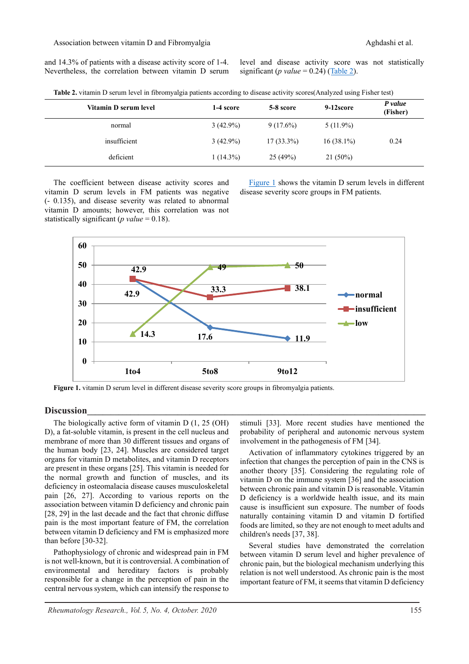and 14.3% of patients with a disease activity score of 1-4. Nevertheless, the correlation between vitamin D serum level and disease activity score was not statistically significant ( $p$  value = 0.24) ( $\overline{\text{Table 2}}$ ).

<span id="page-2-0"></span>**Table 2.** vitamin D serum level in fibromyalgia patients according to disease activity scores(Analyzed using Fisher test)

| Vitamin D serum level | 1-4 score   | 5-8 score    | 9-12score    | P value<br>(Fisher) |  |
|-----------------------|-------------|--------------|--------------|---------------------|--|
| normal                | $3(42.9\%)$ | $9(17.6\%)$  | $5(11.9\%)$  |                     |  |
| insufficient          | $3(42.9\%)$ | $17(33.3\%)$ | $16(38.1\%)$ | 0.24                |  |
| deficient             | $1(14.3\%)$ | 25(49%)      | $21(50\%)$   |                     |  |

The coefficient between disease activity scores and vitamin D serum levels in FM patients was negative (- 0.135), and disease severity was related to abnormal vitamin D amounts; however, this correlation was not statistically significant (*p value* = 0.18).

Figure  $\frac{1}{s}$  shows the vitamin D serum levels in different disease severity score groups in FM patients.



<span id="page-2-1"></span>**Figure 1.** vitamin D serum level in different disease severity score groups in fibromyalgia patients.

## **Discussion\_\_\_\_\_\_\_\_\_\_\_\_\_\_\_\_\_\_\_\_\_\_\_\_\_\_\_\_\_\_\_\_\_\_\_\_\_\_\_\_\_\_\_\_\_\_\_\_\_\_\_\_\_\_\_\_\_\_\_\_\_\_\_\_\_\_\_\_\_\_\_\_\_\_\_\_\_\_\_\_\_\_\_\_\_\_**

The biologically active form of vitamin D (1, 25 (OH) D), a fat-soluble vitamin, is present in the cell nucleus and membrane of more than 30 different tissues and organs of the human body [23, 24]. Muscles are considered target organs for vitamin D metabolites, and vitamin D receptors are present in these organs [25]. This vitamin is needed for the normal growth and function of muscles, and its deficiency in osteomalacia disease causes musculoskeletal pain [26, 27]. According to various reports on the association between vitamin D deficiency and chronic pain [28, 29] in the last decade and the fact that chronic diffuse pain is the most important feature of FM, the correlation between vitamin D deficiency and FM is emphasized more than before [30-32].

Pathophysiology of chronic and widespread pain in FM is not well-known, but it is controversial. A combination of environmental and hereditary factors is probably responsible for a change in the perception of pain in the central nervous system, which can intensify the response to

stimuli [33]. More recent studies have mentioned the probability of peripheral and autonomic nervous system involvement in the pathogenesis of FM [34].

Activation of inflammatory cytokines triggered by an infection that changes the perception of pain in the CNS is another theory [35]. Considering the regulating role of vitamin D on the immune system [36] and the association between chronic pain and vitamin D is reasonable. Vitamin D deficiency is a worldwide health issue, and its main cause is insufficient sun exposure. The number of foods naturally containing vitamin D and vitamin D fortified foods are limited, so they are not enough to meet adults and children's needs [37, 38].

Several studies have demonstrated the correlation between vitamin D serum level and higher prevalence of chronic pain, but the biological mechanism underlying this relation is not well understood. As chronic pain is the most important feature of FM, it seems that vitamin D deficiency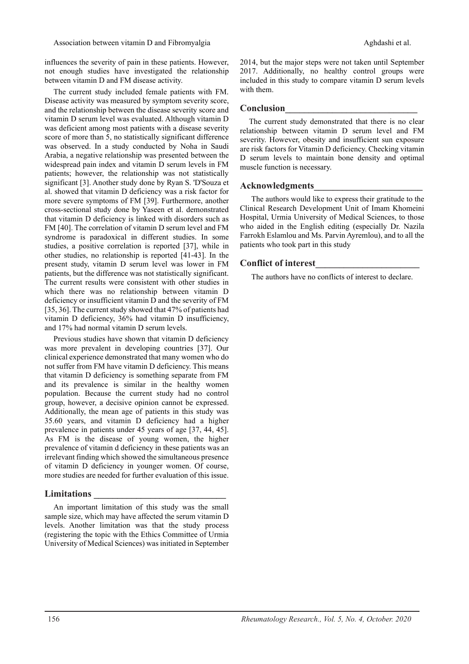influences the severity of pain in these patients. However, not enough studies have investigated the relationship between vitamin D and FM disease activity.

The current study included female patients with FM. Disease activity was measured by symptom severity score, and the relationship between the disease severity score and vitamin D serum level was evaluated. Although vitamin D was deficient among most patients with a disease severity score of more than 5, no statistically significant difference was observed. In a study conducted by Noha in Saudi Arabia, a negative relationship was presented between the widespread pain index and vitamin D serum levels in FM patients; however, the relationship was not statistically significant [3]. Another study done by Ryan S. 'D'Souza et al. showed that vitamin D deficiency was a risk factor for more severe symptoms of FM [39]. Furthermore, another cross-sectional study done by Yaseen et al. demonstrated that vitamin D deficiency is linked with disorders such as FM [40]. The correlation of vitamin D serum level and FM syndrome is paradoxical in different studies. In some studies, a positive correlation is reported [37], while in other studies, no relationship is reported [41-43]. In the present study, vitamin D serum level was lower in FM patients, but the difference was not statistically significant. The current results were consistent with other studies in which there was no relationship between vitamin D deficiency or insufficient vitamin D and the severity of FM [35, 36]. The current study showed that 47% of patients had vitamin D deficiency, 36% had vitamin D insufficiency, and 17% had normal vitamin D serum levels.

Previous studies have shown that vitamin D deficiency was more prevalent in developing countries [37]. Our clinical experience demonstrated that many women who do not suffer from FM have vitamin D deficiency. This means that vitamin D deficiency is something separate from FM and its prevalence is similar in the healthy women population. Because the current study had no control group, however, a decisive opinion cannot be expressed. Additionally, the mean age of patients in this study was 35.60 years, and vitamin D deficiency had a higher prevalence in patients under 45 years of age [37, 44, 45]. As FM is the disease of young women, the higher prevalence of vitamin d deficiency in these patients was an irrelevant finding which showed the simultaneous presence of vitamin D deficiency in younger women. Of course, more studies are needed for further evaluation of this issue.

#### **Limitations \_\_\_\_\_\_\_\_\_\_\_\_\_\_\_\_\_\_\_\_\_\_\_\_\_\_\_\_**

An important limitation of this study was the small sample size, which may have affected the serum vitamin D levels. Another limitation was that the study process (registering the topic with the Ethics Committee of Urmia University of Medical Sciences) was initiated in September 2014, but the major steps were not taken until September 2017. Additionally, no healthy control groups were included in this study to compare vitamin D serum levels with them.

## **Conclusion\_\_\_\_\_\_\_\_\_\_\_\_\_\_\_\_\_\_\_\_\_\_\_\_\_\_\_\_**

The current study demonstrated that there is no clear relationship between vitamin D serum level and FM severity. However, obesity and insufficient sun exposure are risk factors for Vitamin D deficiency. Checking vitamin D serum levels to maintain bone density and optimal muscle function is necessary.

#### **Acknowledgments\_\_\_\_\_\_\_\_\_\_\_\_\_\_\_\_\_\_\_\_\_\_\_**

The authors would like to express their gratitude to the Clinical Research Development Unit of Imam Khomeini Hospital, Urmia University of Medical Sciences, to those who aided in the English editing (especially Dr. Nazila Farrokh Eslamlou and Ms. Parvin Ayremlou), and to all the patients who took part in this study

#### **Conflict of interest\_\_\_\_\_\_\_\_\_\_\_\_\_\_\_\_\_\_\_\_\_\_**

The authors have no conflicts of interest to declare.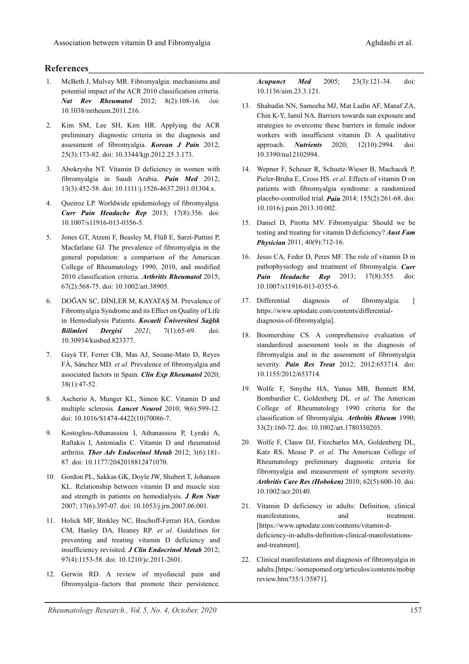# **References\_\_\_\_\_\_\_\_\_\_\_\_\_\_\_\_\_\_\_\_\_\_\_\_\_\_\_\_\_\_\_\_\_\_\_\_\_\_\_\_\_\_\_\_\_\_\_\_\_\_\_\_\_\_\_\_\_\_\_\_\_\_\_\_\_\_\_\_\_\_\_**

- 1. McBeth J, Mulvey MR. Fibromyalgia: mechanisms and potential impact of the ACR 2010 classification criteria. *Nat Rev Rheumatol* 2012; 8(2):108-16. doi: 10.1038/nrrheum.2011.216.
- 2. Kim SM, Lee SH, Kim HR. Applying the ACR preliminary diagnostic criteria in the diagnosis and assessment of fibromyalgia. *Korean J Pain* 2012; 25(3):173-82. doi: 10.3344/kjp.2012.25.3.173.
- 3. Abokrysha NT. Vitamin D deficiency in women with fibromyalgia in Saudi Arabia. *Pain Med* 2012; 13(3):452-58. doi: 10.1111/j.1526-4637.2011.01304.x.
- 4. Queiroz LP. Worldwide epidemiology of fibromyalgia. *Curr Pain Headache Rep* 2013; 17(8):356. doi: 10.1007/s11916-013-0356-5.
- 5. Jones GT, Atzeni F, Beasley M, Flüß E, Sarzi-Puttini P, Macfarlane GJ. The prevalence of fibromyalgia in the general population: a comparison of the American College of Rheumatology 1990, 2010, and modified 2010 classification criteria. *Arthritis Rheumatol* 2015; 67(2):568-75. doi: 10.1002/art.38905.
- 6. DOĞAN SC, DİNLER M, KAYATAŞ M. Prevalence of Fibromyalgia Syndrome and its Effect on Quality of Life in Hemodialysis Patients. *Kocaeli Üniversitesi Sağlık Bilimleri Dergisi 2021*; 7(1):65-69. doi: 10.30934/kusbed.823377.
- 7. Gayà TF, Ferrer CB, Mas AJ, Seoane-Mato D, Reyes FÁ, Sánchez MD*. et al*. Prevalence of fibromyalgia and associated factors in Spain. *Clin Exp Rheumatol* 2020; 38(1):47-52.
- 8. Ascherio A, Munger KL, Simon KC. Vitamin D and multiple sclerosis. *Lancet Neurol* 2010; 9(6):599-12. doi: 10.1016/S1474-4422(10)70086-7.
- 9. Kostoglou-Athanassiou I, Athanassiou P, Lyraki A, Raftakis I, Antoniadis C. Vitamin D and rheumatoid arthritis. *Ther Adv Endocrinol Metab* 2012; 3(6):181- 87. doi: 10.1177/2042018812471070.
- 10. Gordon PL, Sakkas GK, Doyle JW, Shubert T, Johansen KL. Relationship between vitamin D and muscle size and strength in patients on hemodialysis. *J Ren Nutr* 2007; 17(6):397-07. doi: 10.1053/j.jrn.2007.06.001.
- 11. Holick MF, Binkley NC, Bischoff-Ferrari HA, Gordon CM, Hanley DA, Heaney RP*. et al*. Guidelines for preventing and treating vitamin D deficiency and insufficiency revisited. *J Clin Endocrinol Metab* 2012; 97(4):1153-58. doi: 10.1210/jc.2011-2601.
- 12. Gerwin RD. A review of myofascial pain and fibromyalgia–factors that promote their persistence.

*Acupunct Med* 2005; 23(3):121-34. doi: 10.1136/aim.23.3.121.

- 13. Shahudin NN, Sameeha MJ, Mat Ludin AF, Manaf ZA, Chin K-Y, Jamil NA. Barriers towards sun exposure and strategies to overcome these barriers in female indoor workers with insufficient vitamin D: A qualitative approach. *Nutrients* 2020; 12(10):2994. doi: 10.3390/nu12102994.
- 14. Wepner F, Scheuer R, Schuetz-Wieser B, Machacek P, Pieler-Bruha E, Cross HS*. et al*. Effects of vitamin D on patients with fibromyalgia syndrome: a randomized placebo-controlled trial. *Pain* 2014; 155(2):261-68. doi: 10.1016/j.pain.2013.10.002.
- 15. Daniel D, Pirotta MV. Fibromyalgia: Should we be testing and treating for vitamin D deficiency? *Aust Fam Physician* 2011; 40(9):712-16.
- 16. Jesus CA, Feder D, Peres MF. The role of vitamin D in pathophysiology and treatment of fibromyalgia. *Curr Pain Headache Rep* 2013; 17(8):355. doi: 10.1007/s11916-013-0355-6.
- 17. Differential diagnosis of fibromyalgia. [ https://www.uptodate.com/contents/differentialdiagnosis-of-fibromyalgia].
- 18. Boomershine CS. A comprehensive evaluation of standardized assessment tools in the diagnosis of fibromyalgia and in the assessment of fibromyalgia severity. *Pain Res Treat* 2012; 2012:653714. doi: 10.1155/2012/653714.
- 19. Wolfe F, Smythe HA, Yunus MB, Bennett RM, Bombardier C, Goldenberg DL*. et al*. The American College of Rheumatology 1990 criteria for the classification of fibromyalgia. *Arthritis Rheum* 1990; 33(2):160-72. doi: 10.1002/art.1780330203.
- 20. Wolfe F, Clauw DJ, Fitzcharles MA, Goldenberg DL, Katz RS, Mease P*. et al*. The American College of Rheumatology preliminary diagnostic criteria for fibromyalgia and measurement of symptom severity. *Arthritis Care Res (Hoboken)* 2010; 62(5):600-10. doi: 10.1002/acr.20140.
- 21. Vitamin D deficiency in adults: Definition, clinical manifestations, and treatment. [https://www.uptodate.com/contents/vitamin-ddeficiency-in-adults-definition-clinical-manifestationsand-treatment].
- 22. Clinical manifestations and diagnosis of fibromyalgia in adults.[https://somepomed.org/articulos/contents/mobip review.htm?35/1/35871].